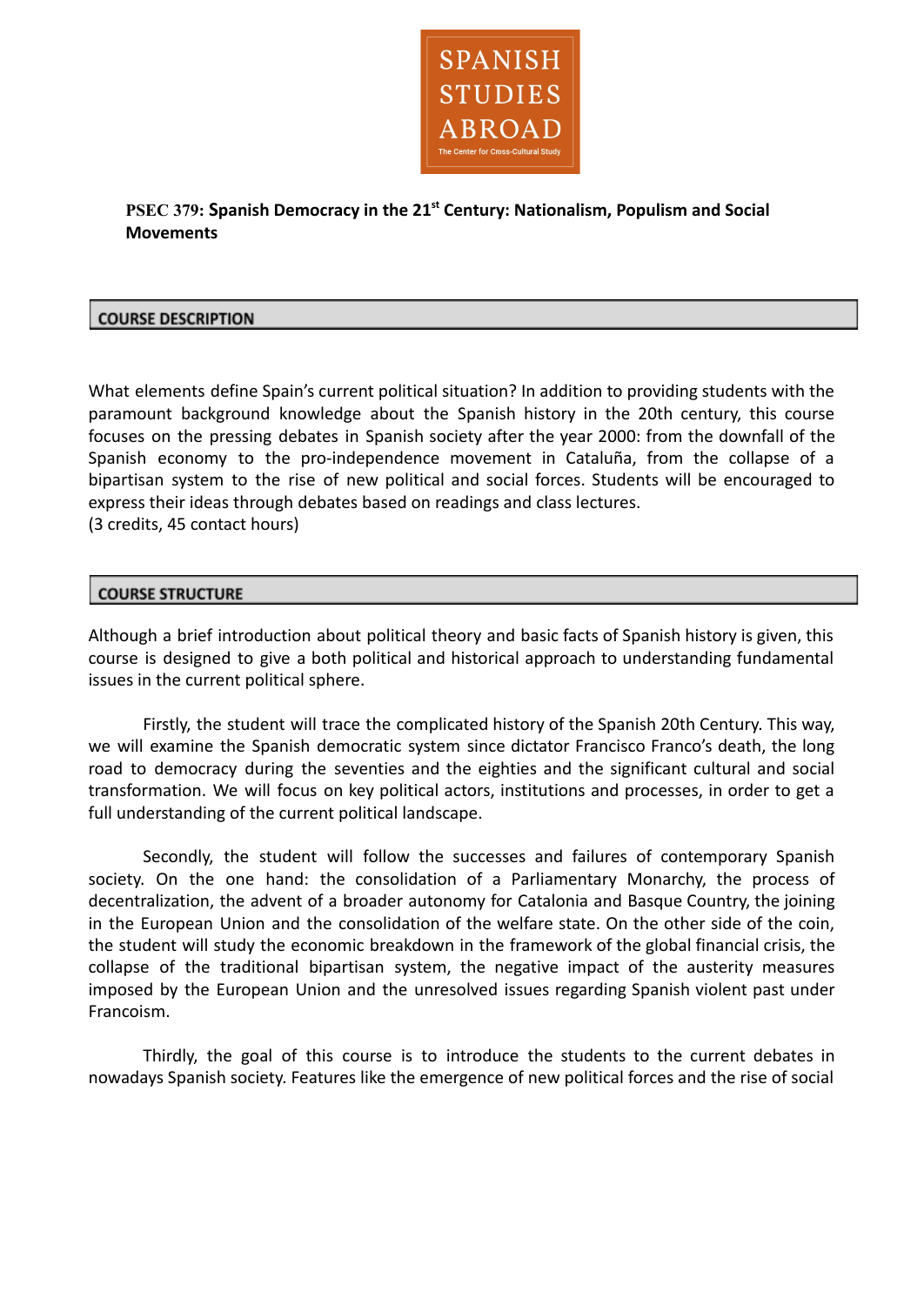

**PSEC 379: Spanish Democracy in the 21st Century: Nationalism, Populism and Social Movements**

# **COURSE DESCRIPTION**

What elements define Spain's current political situation? In addition to providing students with the paramount background knowledge about the Spanish history in the 20th century, this course focuses on the pressing debates in Spanish society after the year 2000: from the downfall of the Spanish economy to the pro-independence movement in Cataluña, from the collapse of a bipartisan system to the rise of new political and social forces. Students will be encouraged to express their ideas through debates based on readings and class lectures. (3 credits, 45 contact hours)

# **COURSE STRUCTURE**

Although a brief introduction about political theory and basic facts of Spanish history is given, this course is designed to give a both political and historical approach to understanding fundamental issues in the current political sphere.

Firstly, the student will trace the complicated history of the Spanish 20th Century. This way, we will examine the Spanish democratic system since dictator Francisco Franco's death, the long road to democracy during the seventies and the eighties and the significant cultural and social transformation. We will focus on key political actors, institutions and processes, in order to get a full understanding of the current political landscape.

Secondly, the student will follow the successes and failures of contemporary Spanish society. On the one hand: the consolidation of a Parliamentary Monarchy, the process of decentralization, the advent of a broader autonomy for Catalonia and Basque Country, the joining in the European Union and the consolidation of the welfare state. On the other side of the coin, the student will study the economic breakdown in the framework of the global financial crisis, the collapse of the traditional bipartisan system, the negative impact of the austerity measures imposed by the European Union and the unresolved issues regarding Spanish violent past under Francoism.

Thirdly, the goal of this course is to introduce the students to the current debates in nowadays Spanish society. Features like the emergence of new political forces and the rise of social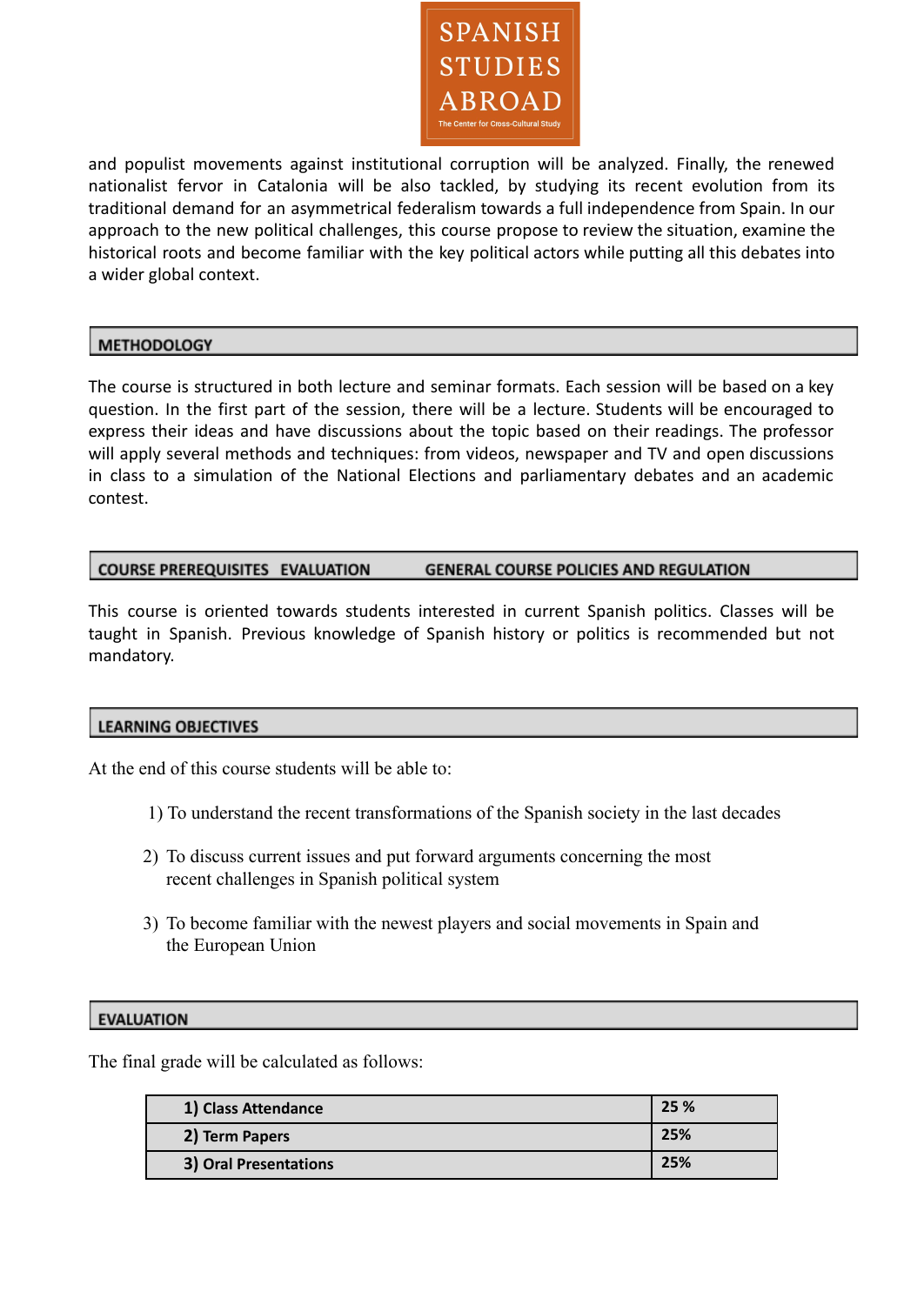

and populist movements against institutional corruption will be analyzed. Finally, the renewed nationalist fervor in Catalonia will be also tackled, by studying its recent evolution from its traditional demand for an asymmetrical federalism towards a full independence from Spain. In our approach to the new political challenges, this course propose to review the situation, examine the historical roots and become familiar with the key political actors while putting all this debates into a wider global context.

# **METHODOLOGY**

The course is structured in both lecture and seminar formats. Each session will be based on a key question. In the first part of the session, there will be a lecture. Students will be encouraged to express their ideas and have discussions about the topic based on their readings. The professor will apply several methods and techniques: from videos, newspaper and TV and open discussions in class to a simulation of the National Elections and parliamentary debates and an academic contest.

#### **COURSE PREREQUISITES EVALUATION GENERAL COURSE POLICIES AND REGULATION**

This course is oriented towards students interested in current Spanish politics. Classes will be taught in Spanish. Previous knowledge of Spanish history or politics is recommended but not mandatory.

# **LEARNING OBJECTIVES**

At the end of this course students will be able to:

- 1) To understand the recent transformations of the Spanish society in the last decades
- 2) To discuss current issues and put forward arguments concerning the most recent challenges in Spanish political system
- 3) To become familiar with the newest players and social movements in Spain and the European Union

#### **EVALUATION**

The final grade will be calculated as follows:

| 1) Class Attendance   | 25 % |
|-----------------------|------|
| 2) Term Papers        | 25%  |
| 3) Oral Presentations | 25%  |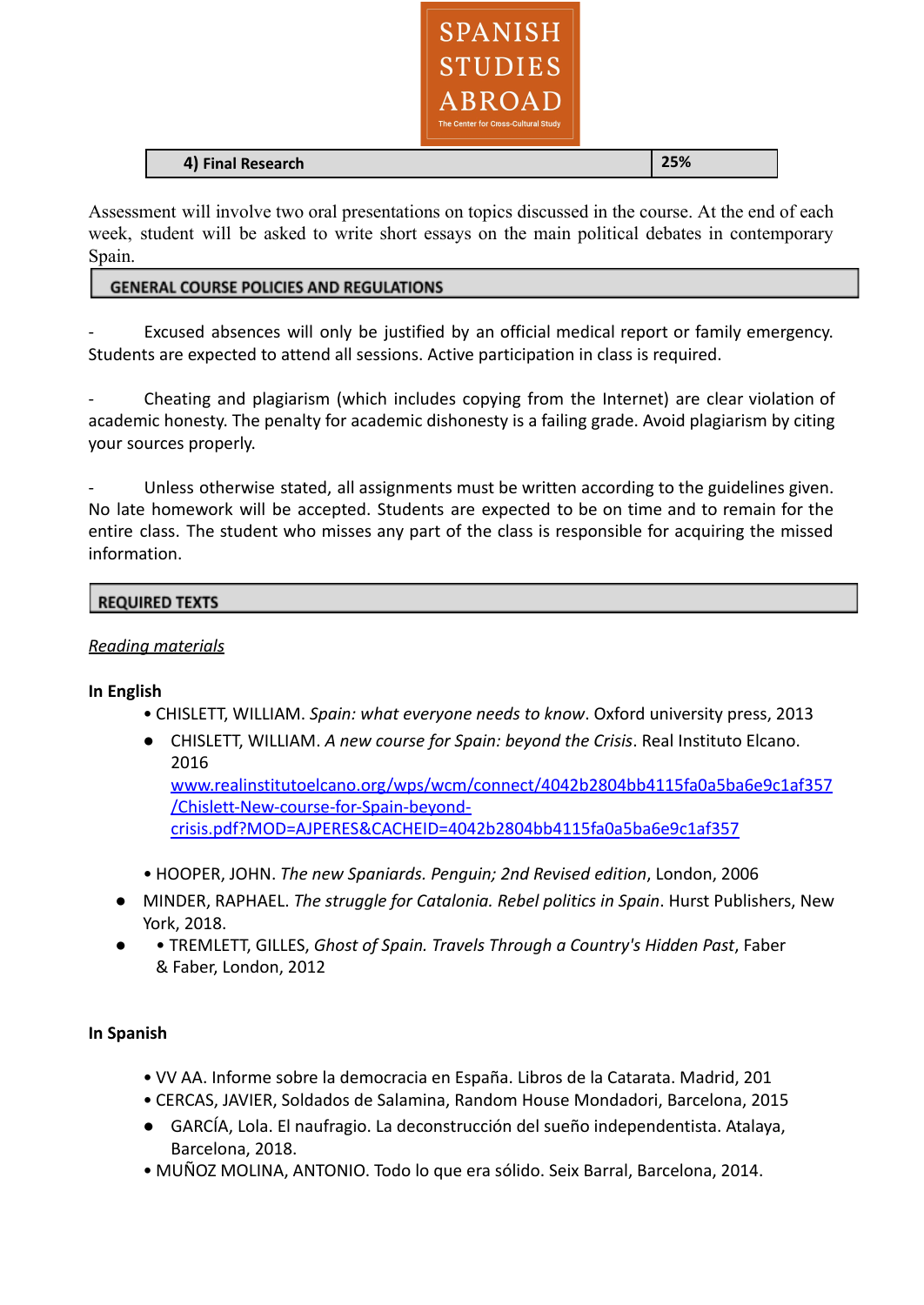

#### **4) Final Research 25%**

Assessment will involve two oral presentations on topics discussed in the course. At the end of each week, student will be asked to write short essays on the main political debates in contemporary Spain.

### **GENERAL COURSE POLICIES AND REGULATIONS**

Excused absences will only be justified by an official medical report or family emergency. Students are expected to attend all sessions. Active participation in class is required.

Cheating and plagiarism (which includes copying from the Internet) are clear violation of academic honesty. The penalty for academic dishonesty is a failing grade. Avoid plagiarism by citing your sources properly.

Unless otherwise stated, all assignments must be written according to the guidelines given. No late homework will be accepted. Students are expected to be on time and to remain for the entire class. The student who misses any part of the class is responsible for acquiring the missed information.

### **REQUIRED TEXTS**

## *Reading materials*

#### **In English**

- CHISLETT, WILLIAM. *Spain: what everyone needs to know*. Oxford university press, 2013
- CHISLETT, WILLIAM. *A new course for Spain: beyond the Crisis*. Real Instituto Elcano. 2016 [www.realinstitutoelcano.org/wps/wcm/connect/4042b2804bb4115fa0a5ba6e9c1af357](http://www.realinstitutoelcano.org/wps/wcm/connect/4042b2804bb4115fa0a5ba6e9c1af357/Chislett-New-course-for-Spain-beyond-crisis.pdf?MOD=AJPERES&CACHEID=4042b2804bb4115fa0a5ba6e9c1af357) [/Chislett-New-course-for-Spain-beyond-](http://www.realinstitutoelcano.org/wps/wcm/connect/4042b2804bb4115fa0a5ba6e9c1af357/Chislett-New-course-for-Spain-beyond-crisis.pdf?MOD=AJPERES&CACHEID=4042b2804bb4115fa0a5ba6e9c1af357)

[crisis.pdf?MOD=AJPERES&CACHEID=4042b2804bb4115fa0a5ba6e9c1af357](http://www.realinstitutoelcano.org/wps/wcm/connect/4042b2804bb4115fa0a5ba6e9c1af357/Chislett-New-course-for-Spain-beyond-crisis.pdf?MOD=AJPERES&CACHEID=4042b2804bb4115fa0a5ba6e9c1af357)

- HOOPER, JOHN. *The new Spaniards. Penguin; 2nd Revised edition*, London, 2006
- MINDER, RAPHAEL. *The struggle for Catalonia. Rebel politics in Spain*. Hurst Publishers, New York, 2018.
- • TREMLETT, GILLES, *Ghost of Spain. Travels Through a Country's Hidden Past*, Faber & Faber, London, 2012

#### **In Spanish**

- VV AA. Informe sobre la democracia en España. Libros de la Catarata. Madrid, 201
- CERCAS, JAVIER, Soldados de Salamina, Random House Mondadori, Barcelona, 2015
- GARCÍA, Lola. El naufragio. La deconstrucción del sueño independentista. Atalaya, Barcelona, 2018.
- MUÑOZ MOLINA, ANTONIO. Todo lo que era sólido. Seix Barral, Barcelona, 2014.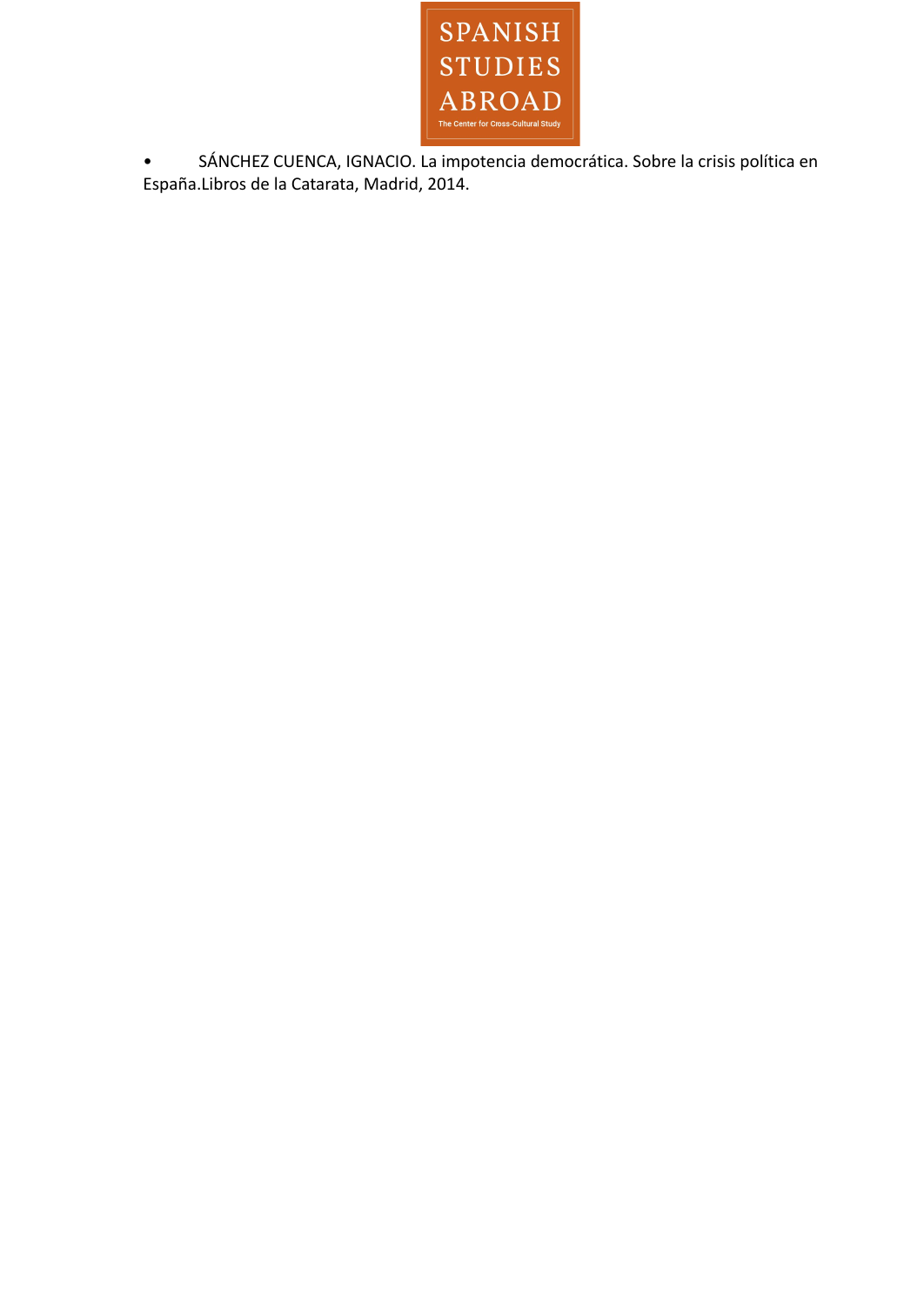

• SÁNCHEZ CUENCA, IGNACIO. La impotencia democrática. Sobre la crisis política en España.Libros de la Catarata, Madrid, 2014.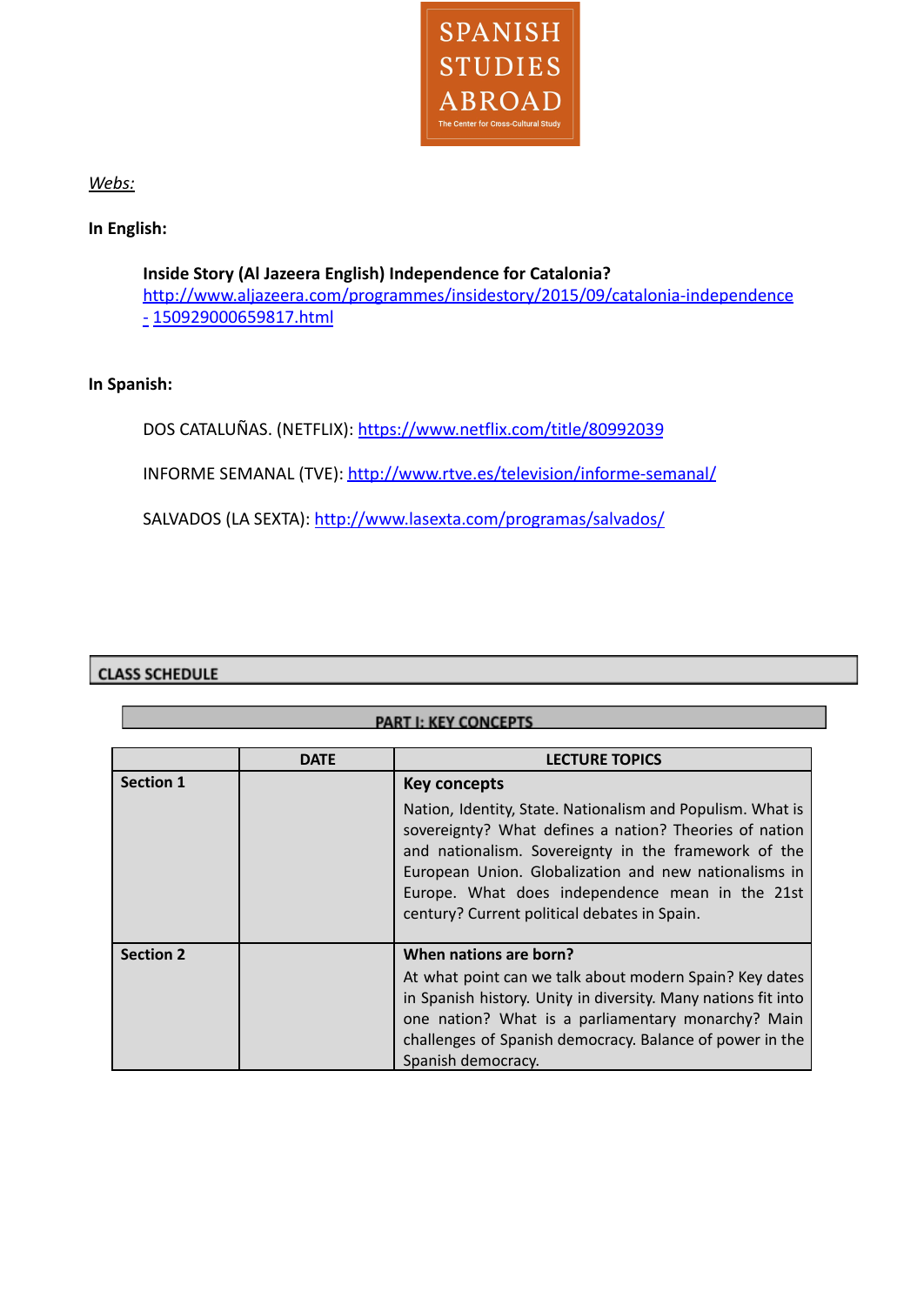

*Webs:*

# **In English:**

**Inside Story (Al Jazeera English) Independence for Catalonia?** [http://www.aljazeera.com/programmes/insidestory/2015/09/catalonia-independence](http://www.aljazeera.com/programmes/insidestory/2015/09/catalonia-independence-%20150929000659817.html) [-](http://www.aljazeera.com/programmes/insidestory/2015/09/catalonia-independence-%20150929000659817.html) [150929000659817.html](http://www.aljazeera.com/programmes/insidestory/2015/09/catalonia-independence-%20150929000659817.html)

# **In Spanish:**

DOS CATALUÑAS. (NETFLIX): <https://www.netflix.com/title/80992039>

INFORME SEMANAL (TVE): <http://www.rtve.es/television/informe-semanal/>

SALVADOS (LA SEXTA): <http://www.lasexta.com/programas/salvados/>

# **CLASS SCHEDULE**

| PART I: KEY CONCEPTS |             |                                                                                                                                                                                                                                                                                                                                          |
|----------------------|-------------|------------------------------------------------------------------------------------------------------------------------------------------------------------------------------------------------------------------------------------------------------------------------------------------------------------------------------------------|
|                      | <b>DATE</b> | <b>LECTURE TOPICS</b>                                                                                                                                                                                                                                                                                                                    |
| <b>Section 1</b>     |             | Key concepts                                                                                                                                                                                                                                                                                                                             |
|                      |             | Nation, Identity, State. Nationalism and Populism. What is<br>sovereignty? What defines a nation? Theories of nation<br>and nationalism. Sovereignty in the framework of the<br>European Union. Globalization and new nationalisms in<br>Europe. What does independence mean in the 21st<br>century? Current political debates in Spain. |
| <b>Section 2</b>     |             | When nations are born?                                                                                                                                                                                                                                                                                                                   |
|                      |             | At what point can we talk about modern Spain? Key dates                                                                                                                                                                                                                                                                                  |
|                      |             | in Spanish history. Unity in diversity. Many nations fit into                                                                                                                                                                                                                                                                            |
|                      |             | one nation? What is a parliamentary monarchy? Main                                                                                                                                                                                                                                                                                       |
|                      |             | challenges of Spanish democracy. Balance of power in the                                                                                                                                                                                                                                                                                 |
|                      |             | Spanish democracy.                                                                                                                                                                                                                                                                                                                       |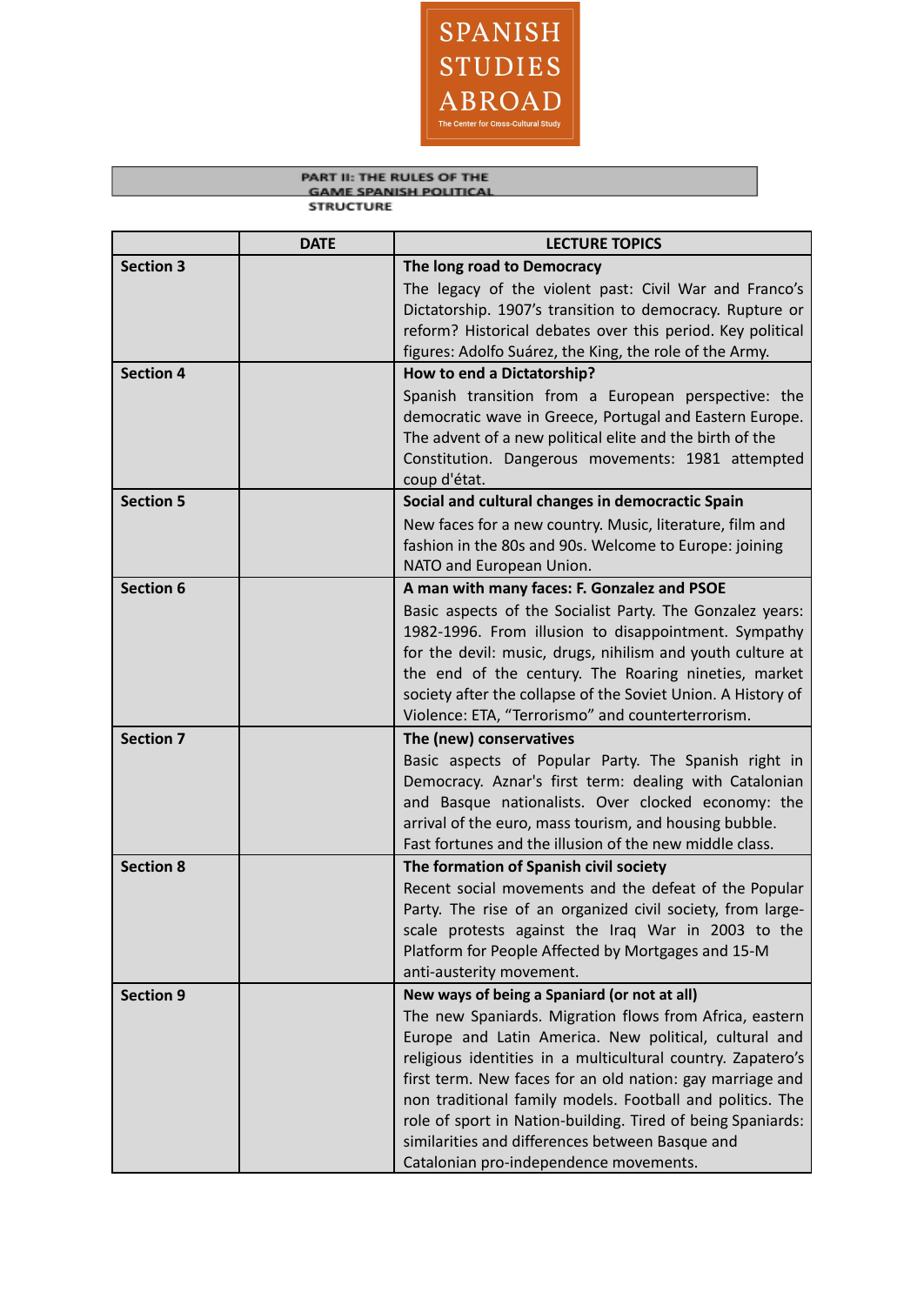

#### PART II: THE RULES OF THE **GAME SPANISH POLITICAL STRUCTURE**

|                  | <b>DATE</b> | <b>LECTURE TOPICS</b>                                                                                        |
|------------------|-------------|--------------------------------------------------------------------------------------------------------------|
| <b>Section 3</b> |             | The long road to Democracy                                                                                   |
|                  |             | The legacy of the violent past: Civil War and Franco's                                                       |
|                  |             | Dictatorship. 1907's transition to democracy. Rupture or                                                     |
|                  |             | reform? Historical debates over this period. Key political                                                   |
|                  |             | figures: Adolfo Suárez, the King, the role of the Army.                                                      |
| <b>Section 4</b> |             | How to end a Dictatorship?                                                                                   |
|                  |             | Spanish transition from a European perspective: the                                                          |
|                  |             | democratic wave in Greece, Portugal and Eastern Europe.                                                      |
|                  |             | The advent of a new political elite and the birth of the                                                     |
|                  |             | Constitution. Dangerous movements: 1981 attempted<br>coup d'état.                                            |
| <b>Section 5</b> |             | Social and cultural changes in democractic Spain                                                             |
|                  |             | New faces for a new country. Music, literature, film and                                                     |
|                  |             | fashion in the 80s and 90s. Welcome to Europe: joining                                                       |
|                  |             | NATO and European Union.                                                                                     |
| <b>Section 6</b> |             | A man with many faces: F. Gonzalez and PSOE                                                                  |
|                  |             | Basic aspects of the Socialist Party. The Gonzalez years:                                                    |
|                  |             | 1982-1996. From illusion to disappointment. Sympathy                                                         |
|                  |             | for the devil: music, drugs, nihilism and youth culture at                                                   |
|                  |             | the end of the century. The Roaring nineties, market                                                         |
|                  |             | society after the collapse of the Soviet Union. A History of                                                 |
|                  |             | Violence: ETA, "Terrorismo" and counterterrorism.                                                            |
| <b>Section 7</b> |             | The (new) conservatives                                                                                      |
|                  |             | Basic aspects of Popular Party. The Spanish right in                                                         |
|                  |             | Democracy. Aznar's first term: dealing with Catalonian                                                       |
|                  |             | and Basque nationalists. Over clocked economy: the<br>arrival of the euro, mass tourism, and housing bubble. |
|                  |             | Fast fortunes and the illusion of the new middle class.                                                      |
| <b>Section 8</b> |             | The formation of Spanish civil society                                                                       |
|                  |             | Recent social movements and the defeat of the Popular                                                        |
|                  |             | Party. The rise of an organized civil society, from large-                                                   |
|                  |             | scale protests against the Iraq War in 2003 to the                                                           |
|                  |             | Platform for People Affected by Mortgages and 15-M                                                           |
|                  |             | anti-austerity movement.                                                                                     |
| <b>Section 9</b> |             | New ways of being a Spaniard (or not at all)                                                                 |
|                  |             | The new Spaniards. Migration flows from Africa, eastern                                                      |
|                  |             | Europe and Latin America. New political, cultural and                                                        |
|                  |             | religious identities in a multicultural country. Zapatero's                                                  |
|                  |             | first term. New faces for an old nation: gay marriage and                                                    |
|                  |             | non traditional family models. Football and politics. The                                                    |
|                  |             | role of sport in Nation-building. Tired of being Spaniards:                                                  |
|                  |             | similarities and differences between Basque and                                                              |
|                  |             | Catalonian pro-independence movements.                                                                       |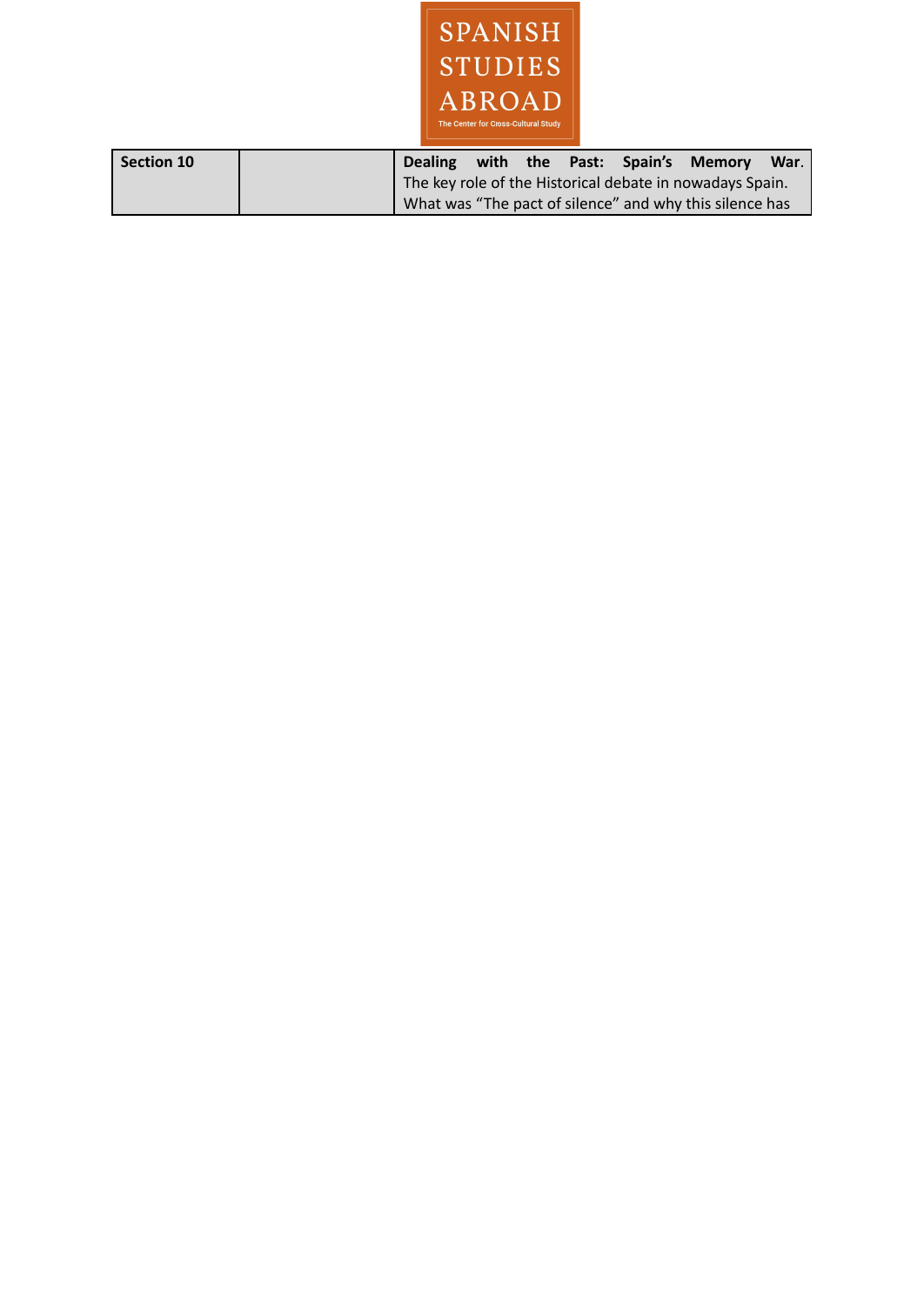

| Section 10 |  |  |  | Dealing with the Past: Spain's Memory                    | War. |
|------------|--|--|--|----------------------------------------------------------|------|
|            |  |  |  | The key role of the Historical debate in nowadays Spain. |      |
|            |  |  |  | What was "The pact of silence" and why this silence has  |      |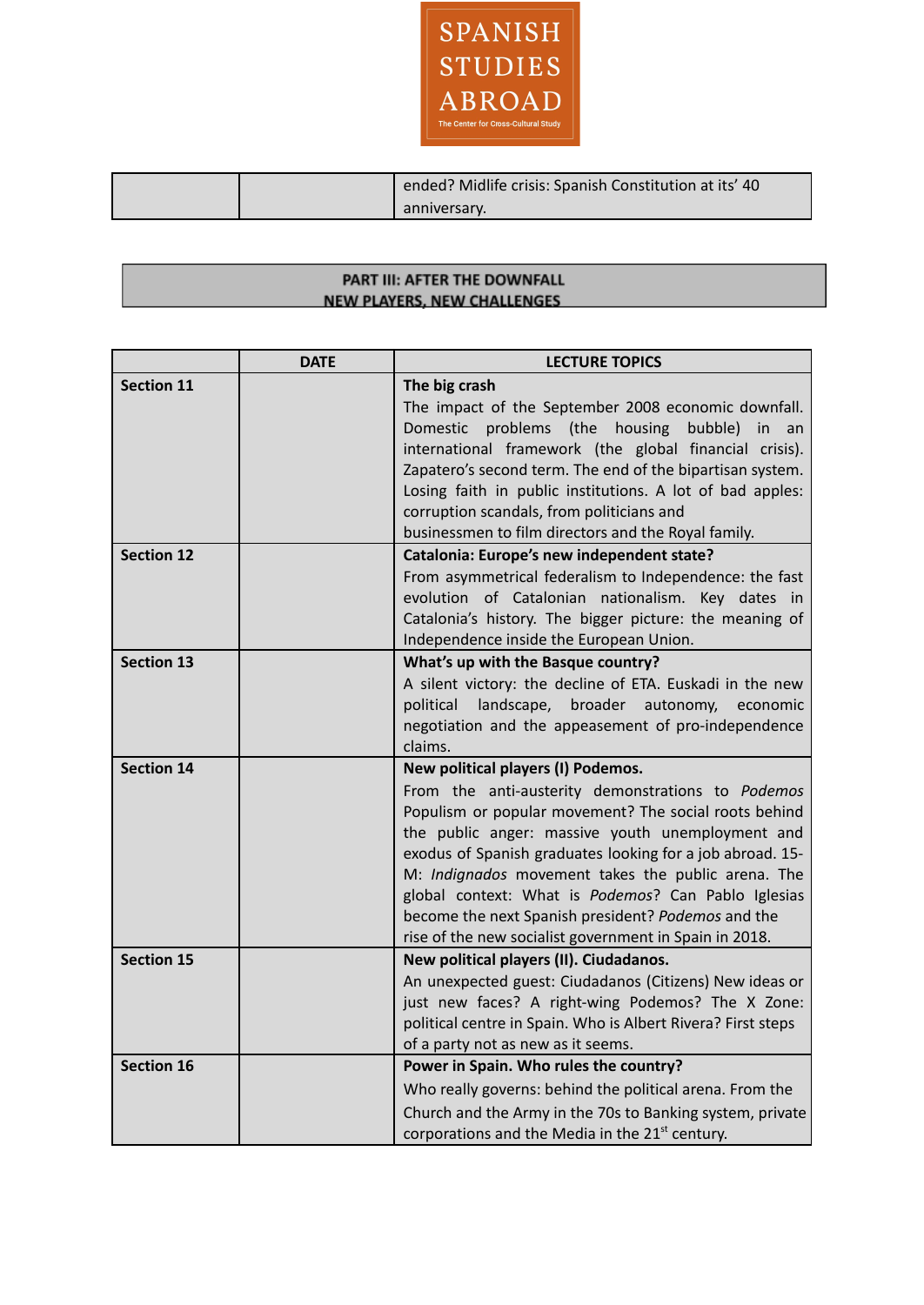

| ended? Midlife crisis: Spanish Constitution at its' 40 |
|--------------------------------------------------------|
| anniversary.                                           |

### PART III: AFTER THE DOWNFALL **NEW PLAYERS, NEW CHALLENGES**

|                   | <b>DATE</b> | <b>LECTURE TOPICS</b>                                                                                           |
|-------------------|-------------|-----------------------------------------------------------------------------------------------------------------|
| <b>Section 11</b> |             | The big crash                                                                                                   |
|                   |             | The impact of the September 2008 economic downfall.                                                             |
|                   |             | Domestic problems (the housing<br>bubble)<br>in.<br>an                                                          |
|                   |             | international framework (the global financial crisis).                                                          |
|                   |             | Zapatero's second term. The end of the bipartisan system.                                                       |
|                   |             | Losing faith in public institutions. A lot of bad apples:                                                       |
|                   |             | corruption scandals, from politicians and                                                                       |
|                   |             | businessmen to film directors and the Royal family.                                                             |
| <b>Section 12</b> |             | Catalonia: Europe's new independent state?                                                                      |
|                   |             | From asymmetrical federalism to Independence: the fast                                                          |
|                   |             | evolution of Catalonian nationalism. Key dates in                                                               |
|                   |             | Catalonia's history. The bigger picture: the meaning of                                                         |
|                   |             | Independence inside the European Union.                                                                         |
| <b>Section 13</b> |             | What's up with the Basque country?                                                                              |
|                   |             | A silent victory: the decline of ETA. Euskadi in the new                                                        |
|                   |             | political<br>landscape, broader autonomy,<br>economic                                                           |
|                   |             | negotiation and the appeasement of pro-independence                                                             |
|                   |             | claims.                                                                                                         |
| <b>Section 14</b> |             | New political players (I) Podemos.                                                                              |
|                   |             | From the anti-austerity demonstrations to Podemos                                                               |
|                   |             | Populism or popular movement? The social roots behind                                                           |
|                   |             | the public anger: massive youth unemployment and                                                                |
|                   |             | exodus of Spanish graduates looking for a job abroad. 15-<br>M: Indignados movement takes the public arena. The |
|                   |             | global context: What is Podemos? Can Pablo Iglesias                                                             |
|                   |             | become the next Spanish president? Podemos and the                                                              |
|                   |             | rise of the new socialist government in Spain in 2018.                                                          |
| <b>Section 15</b> |             | New political players (II). Ciudadanos.                                                                         |
|                   |             | An unexpected guest: Ciudadanos (Citizens) New ideas or                                                         |
|                   |             | just new faces? A right-wing Podemos? The X Zone:                                                               |
|                   |             | political centre in Spain. Who is Albert Rivera? First steps                                                    |
|                   |             | of a party not as new as it seems.                                                                              |
| <b>Section 16</b> |             | Power in Spain. Who rules the country?                                                                          |
|                   |             | Who really governs: behind the political arena. From the                                                        |
|                   |             | Church and the Army in the 70s to Banking system, private                                                       |
|                   |             | corporations and the Media in the 21 <sup>st</sup> century.                                                     |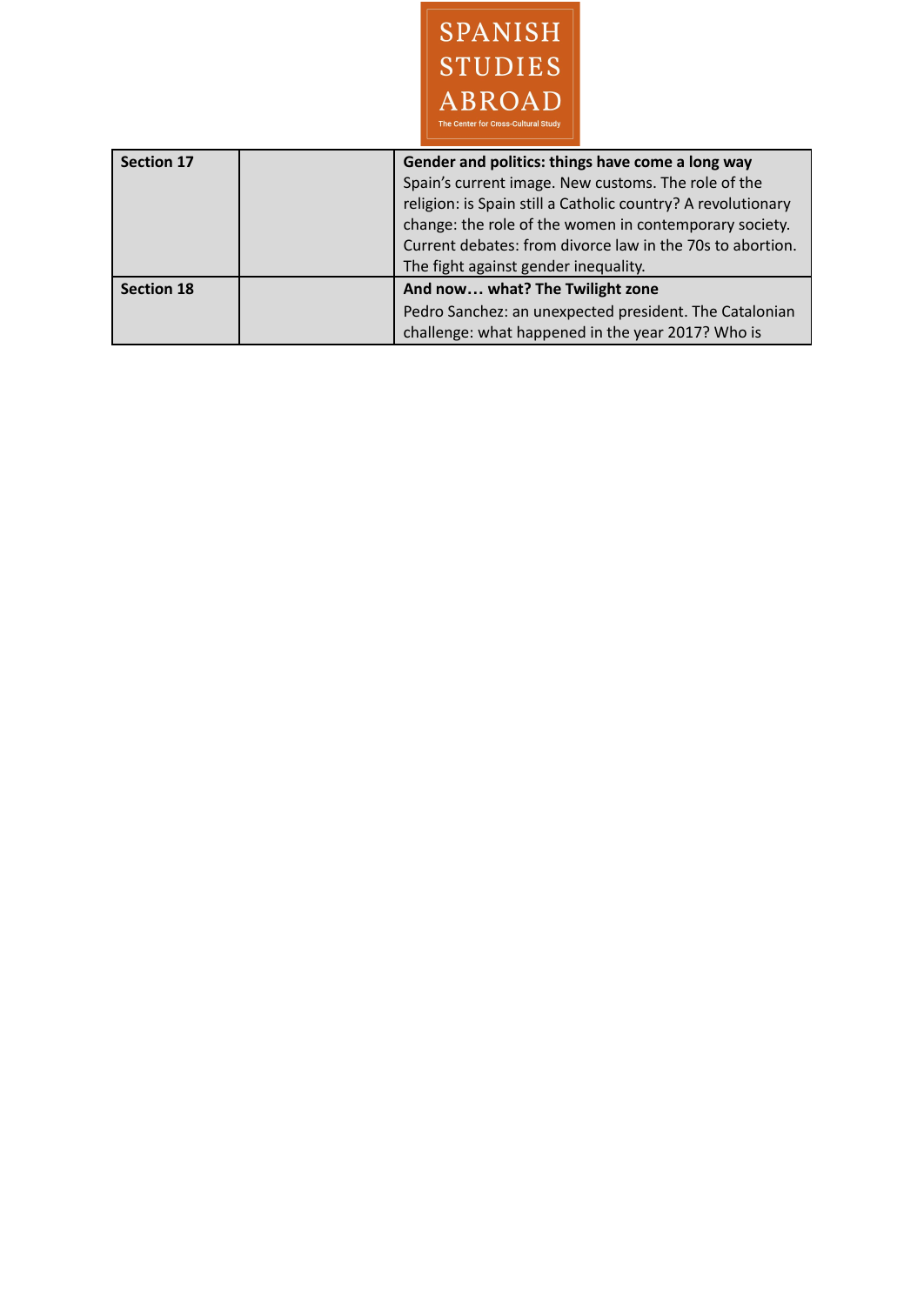

| <b>Section 17</b> | Gender and politics: things have come a long way<br>Spain's current image. New customs. The role of the<br>religion: is Spain still a Catholic country? A revolutionary<br>change: the role of the women in contemporary society.<br>Current debates: from divorce law in the 70s to abortion.<br>The fight against gender inequality. |
|-------------------|----------------------------------------------------------------------------------------------------------------------------------------------------------------------------------------------------------------------------------------------------------------------------------------------------------------------------------------|
| <b>Section 18</b> | And now what? The Twilight zone<br>Pedro Sanchez: an unexpected president. The Catalonian<br>challenge: what happened in the year 2017? Who is                                                                                                                                                                                         |